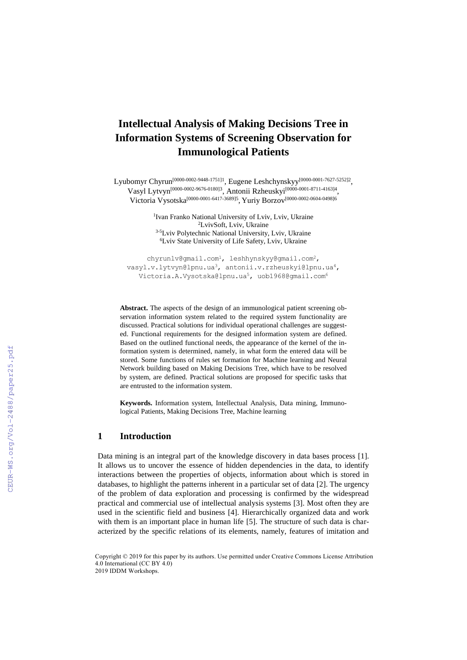# **Intellectual Analysis of Making Decisions Tree in Information Systems of Screening Observation for Immunological Patients**

Lyubomyr Chyrun [0000-0002-9448-1751]1 , Eugene Leshchynskyy [0000-0001-7627-5252]2 , Vasyl Lytvyn<sup>[\[0000-0002-9676-0180\]](http://orcid.org/0000-0002-9676-0180)3</sup>, Antonii Rzheuskyi<sup>[0000-0001-8711-4163]4</sup>, Victoria Vysotska [\[0000-0001-6417-3689\]5](http://orcid.org/0000-0001-6417-3689) , Yuriy Borzov [0000-0002-0604-0498]6

> <sup>1</sup> Ivan Franko National University of Lviv, Lviv, Ukraine <sup>2</sup>LvivSoft, Lviv, Ukraine <sup>3-5</sup>Lviv Polytechnic National University, Lviv, Ukraine <sup>6</sup>Lviv State University of Life Safety, Lviv, Ukraine

chyrunlv@gmail.com<sup>1</sup>, leshhynskyy@gmail.com<sup>2</sup>, vasyl.v.lytvyn@lpnu.ua3, antonii.v.rzheuskyi@lpnu.ua4, [Victoria.A.Vysotska@lpnu.ua](mailto:Victoria.A.Vysotska@lpnu.ua)<sup>5</sup>, uob1968@gmail.com<sup>6</sup>

**Abstract.** The aspects of the design of an immunological patient screening observation information system related to the required system functionality are discussed. Practical solutions for individual operational challenges are suggested. Functional requirements for the designed information system are defined. Based on the outlined functional needs, the appearance of the kernel of the information system is determined, namely, in what form the entered data will be stored. Some functions of rules set formation for Machine learning and Neural Network building based on Making Decisions Tree, which have to be resolved by system, are defined. Practical solutions are proposed for specific tasks that are entrusted to the information system.

**Keywords.** Information system, Intellectual Analysis, Data mining, Immunological Patients, Making Decisions Tree, Machine learning

#### **1 Introduction**

Data mining is an integral part of the knowledge discovery in data bases process [1]. It allows us to uncover the essence of hidden dependencies in the data, to identify interactions between the properties of objects, information about which is stored in databases, to highlight the patterns inherent in a particular set of data [2]. The urgency of the problem of data exploration and processing is confirmed by the widespread practical and commercial use of intellectual analysis systems [3]. Most often they are used in the scientific field and business [4]. Hierarchically organized data and work with them is an important place in human life [5]. The structure of such data is characterized by the specific relations of its elements, namely, features of imitation and

Copyright © 2019 for this paper by its authors. Use permitted under Creative Commons License Attribution 4.0 International (CC BY 4.0) 2019 IDDM Workshops.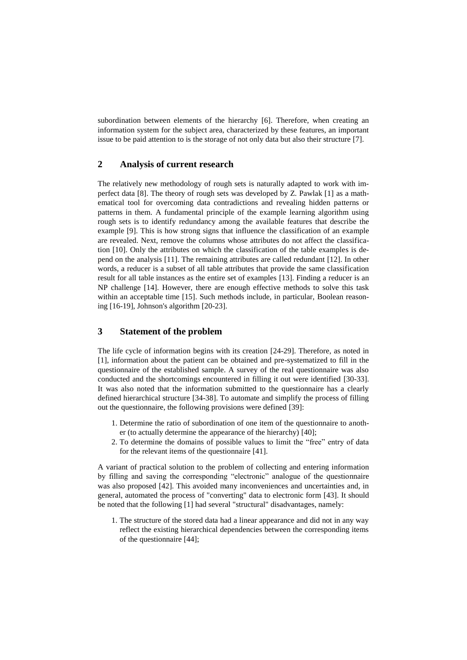subordination between elements of the hierarchy [6]. Therefore, when creating an information system for the subject area, characterized by these features, an important issue to be paid attention to is the storage of not only data but also their structure [7].

## **2 Analysis of current research**

The relatively new methodology of rough sets is naturally adapted to work with imperfect data [8]. The theory of rough sets was developed by Z. Pawlak [1] as a mathematical tool for overcoming data contradictions and revealing hidden patterns or patterns in them. A fundamental principle of the example learning algorithm using rough sets is to identify redundancy among the available features that describe the example [9]. This is how strong signs that influence the classification of an example are revealed. Next, remove the columns whose attributes do not affect the classification [10]. Only the attributes on which the classification of the table examples is depend on the analysis [11]. The remaining attributes are called redundant [12]. In other words, a reducer is a subset of all table attributes that provide the same classification result for all table instances as the entire set of examples [13]. Finding a reducer is an NP challenge [14]. However, there are enough effective methods to solve this task within an acceptable time [15]. Such methods include, in particular, Boolean reasoning [16-19], Johnson's algorithm [20-23].

# **3 Statement of the problem**

The life cycle of information begins with its creation [24-29]. Therefore, as noted in [1], information about the patient can be obtained and pre-systematized to fill in the questionnaire of the established sample. A survey of the real questionnaire was also conducted and the shortcomings encountered in filling it out were identified [30-33]. It was also noted that the information submitted to the questionnaire has a clearly defined hierarchical structure [34-38]. To automate and simplify the process of filling out the questionnaire, the following provisions were defined [39]:

- 1. Determine the ratio of subordination of one item of the questionnaire to another (to actually determine the appearance of the hierarchy) [40];
- 2. To determine the domains of possible values to limit the "free" entry of data for the relevant items of the questionnaire [41].

A variant of practical solution to the problem of collecting and entering information by filling and saving the corresponding "electronic" analogue of the questionnaire was also proposed [42]. This avoided many inconveniences and uncertainties and, in general, automated the process of "converting" data to electronic form [43]. It should be noted that the following [1] had several "structural" disadvantages, namely:

1. The structure of the stored data had a linear appearance and did not in any way reflect the existing hierarchical dependencies between the corresponding items of the questionnaire [44];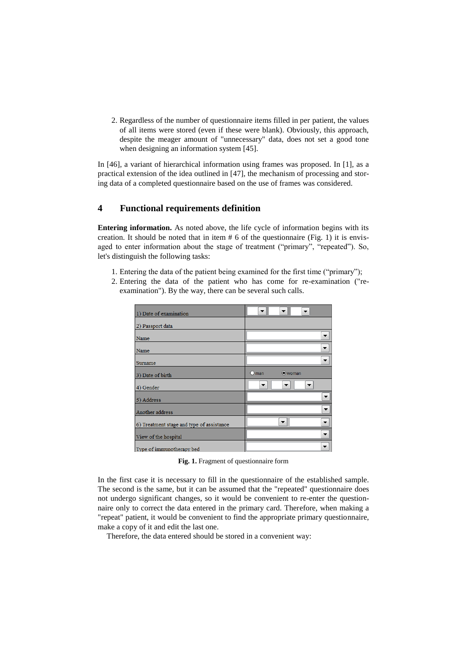2. Regardless of the number of questionnaire items filled in per patient, the values of all items were stored (even if these were blank). Obviously, this approach, despite the meager amount of "unnecessary" data, does not set a good tone when designing an information system [45].

In [46], a variant of hierarchical information using frames was proposed. In [1], as a practical extension of the idea outlined in [47], the mechanism of processing and storing data of a completed questionnaire based on the use of frames was considered.

#### **4 Functional requirements definition**

**Entering information.** As noted above, the life cycle of information begins with its creation. It should be noted that in item  $# 6$  of the questionnaire (Fig. 1) it is envisaged to enter information about the stage of treatment ("primary", "repeated"). So, let's distinguish the following tasks:

- 1. Entering the data of the patient being examined for the first time ("primary");
- 2. Entering the data of the patient who has come for re-examination ("reexamination"). By the way, there can be several such calls.

| 1) Date of examination                    |                          |
|-------------------------------------------|--------------------------|
| 2) Passport data                          |                          |
| Name                                      |                          |
| Name                                      | ▼                        |
| Surname                                   | ▼                        |
| 3) Date of birth                          | $O$ man<br>woman         |
| 4) Gender                                 |                          |
| 5) Address                                |                          |
| Another address                           | ▼                        |
| 6) Treatment stage and type of assistance | ▼<br>▼                   |
| View of the hospital                      | $\overline{\phantom{a}}$ |
| Type of immunotherany hed                 | $\overline{\phantom{a}}$ |

**Fig. 1.** Fragment of questionnaire form

In the first case it is necessary to fill in the questionnaire of the established sample. The second is the same, but it can be assumed that the "repeated" questionnaire does not undergo significant changes, so it would be convenient to re-enter the questionnaire only to correct the data entered in the primary card. Therefore, when making a "repeat" patient, it would be convenient to find the appropriate primary questionnaire, make a copy of it and edit the last one.

Therefore, the data entered should be stored in a convenient way: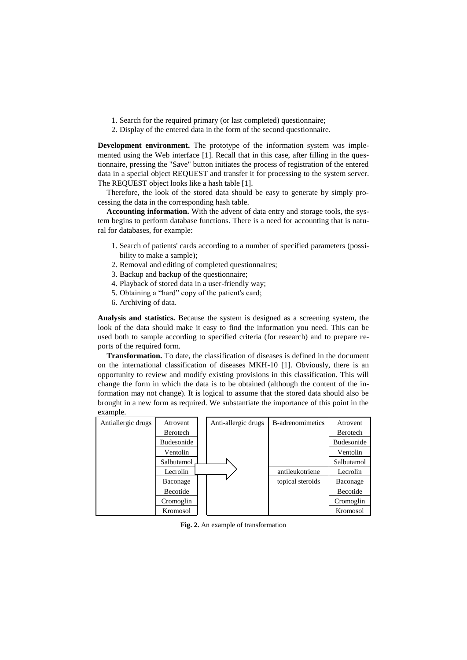- 1. Search for the required primary (or last completed) questionnaire;
- 2. Display of the entered data in the form of the second questionnaire.

**Development environment.** The prototype of the information system was implemented using the Web interface [1]. Recall that in this case, after filling in the questionnaire, pressing the "Save" button initiates the process of registration of the entered data in a special object REQUEST and transfer it for processing to the system server. The REQUEST object looks like a hash table [1].

Therefore, the look of the stored data should be easy to generate by simply processing the data in the corresponding hash table.

**Accounting information.** With the advent of data entry and storage tools, the system begins to perform database functions. There is a need for accounting that is natural for databases, for example:

- 1. Search of patients' cards according to a number of specified parameters (possibility to make a sample);
- 2. Removal and editing of completed questionnaires;
- 3. Backup and backup of the questionnaire;
- 4. Playback of stored data in a user-friendly way;
- 5. Obtaining a "hard" copy of the patient's card;
- 6. Archiving of data.

**Analysis and statistics.** Because the system is designed as a screening system, the look of the data should make it easy to find the information you need. This can be used both to sample according to specified criteria (for research) and to prepare reports of the required form.

**Transformation.** To date, the classification of diseases is defined in the document on the international classification of diseases MKH-10 [1]. Obviously, there is an opportunity to review and modify existing provisions in this classification. This will change the form in which the data is to be obtained (although the content of the information may not change). It is logical to assume that the stored data should also be brought in a new form as required. We substantiate the importance of this point in the example.

| Antiallergic drugs | Atrovent   | Anti-allergic drugs | B-adrenomimetics | Atrovent          |
|--------------------|------------|---------------------|------------------|-------------------|
|                    | Berotech   |                     |                  | Berotech          |
|                    | Budesonide |                     |                  | <b>Budesonide</b> |
|                    | Ventolin   |                     |                  | Ventolin          |
|                    | Salbutamol |                     |                  | Salbutamol        |
|                    | Lecrolin   |                     | antileukotriene  | Lecrolin          |
|                    | Baconage   |                     | topical steroids | Baconage          |
|                    | Becotide   |                     |                  | Becotide          |
|                    | Cromoglin  |                     |                  | Cromoglin         |
|                    | Kromosol   |                     |                  | Kromosol          |

**Fig. 2.** An example of transformation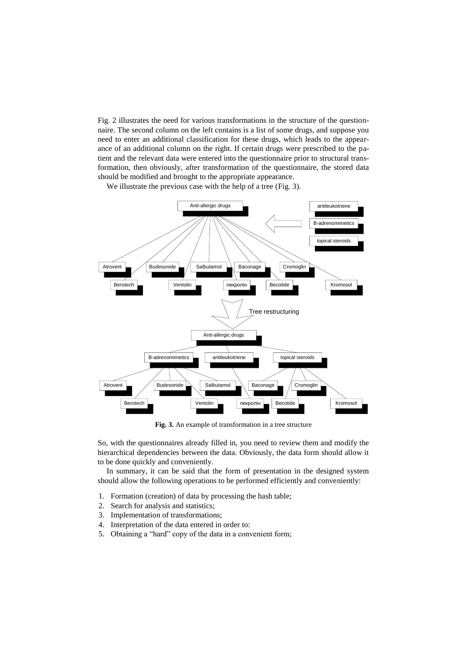Fig. 2 illustrates the need for various transformations in the structure of the questionnaire. The second column on the left contains is a list of some drugs, and suppose you need to enter an additional classification for these drugs, which leads to the appearance of an additional column on the right. If certain drugs were prescribed to the patient and the relevant data were entered into the questionnaire prior to structural transformation, then obviously, after transformation of the questionnaire, the stored data should be modified and brought to the appropriate appearance.

We illustrate the previous case with the help of a tree (Fig. 3).



**Fig. 3.** An example of transformation in a tree structure

So, with the questionnaires already filled in, you need to review them and modify the hierarchical dependencies between the data. Obviously, the data form should allow it to be done quickly and conveniently.

In summary, it can be said that the form of presentation in the designed system should allow the following operations to be performed efficiently and conveniently:

- 1. Formation (creation) of data by processing the hash table;
- 2. Search for analysis and statistics;
- 3. Implementation of transformations;
- 4. Interpretation of the data entered in order to:
- 5. Obtaining a "hard" copy of the data in a convenient form;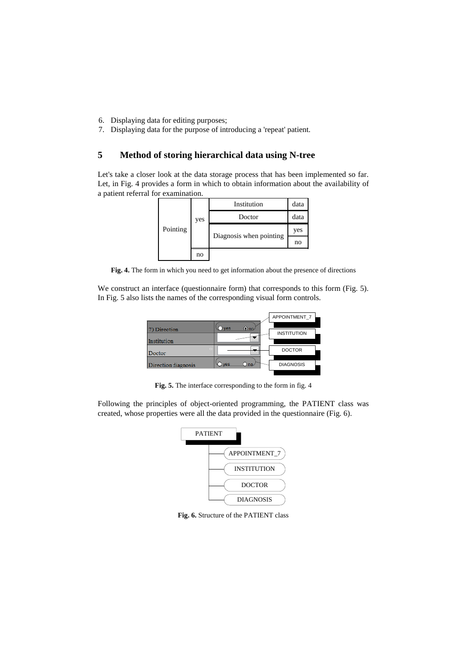- 6. Displaying data for editing purposes;
- 7. Displaying data for the purpose of introducing a 'repeat' patient.

# **5 Method of storing hierarchical data using N-tree**

Let's take a closer look at the data storage process that has been implemented so far. Let, in Fig. 4 provides a form in which to obtain information about the availability of a patient referral for examination.



**Fig. 4.** The form in which you need to get information about the presence of directions

We construct an interface (questionnaire form) that corresponds to this form (Fig. 5). In Fig. 5 also lists the names of the corresponding visual form controls.

|                     |                    | APPOINTMENT 7      |
|---------------------|--------------------|--------------------|
| 7) Direction        | $\odot$ no.<br>ves | <b>INSTITUTION</b> |
| Institution         |                    |                    |
| Doctor              | o                  | <b>DOCTOR</b>      |
| Direction diagnosis | ves                | <b>DIAGNOSIS</b>   |

**Fig. 5.** The interface corresponding to the form in fig. 4

Following the principles of object-oriented programming, the PATIENT class was created, whose properties were all the data provided in the questionnaire (Fig. 6).



**Fig. 6.** Structure of the PATIENT class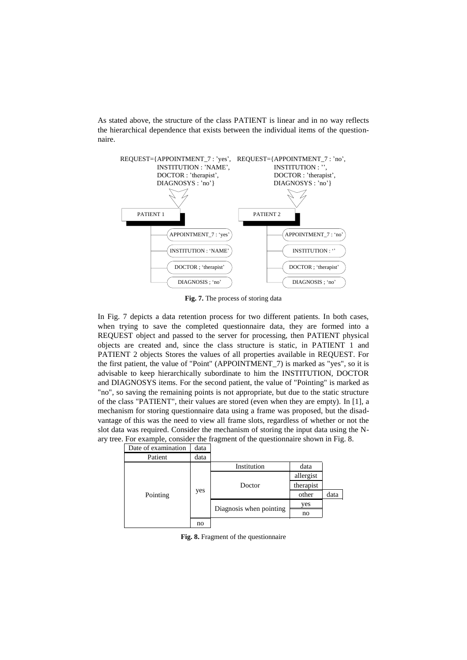As stated above, the structure of the class PATIENT is linear and in no way reflects the hierarchical dependence that exists between the individual items of the questionnaire.



**Fig. 7.** The process of storing data

In Fig. 7 depicts a data retention process for two different patients. In both cases, when trying to save the completed questionnaire data, they are formed into a REQUEST object and passed to the server for processing, then PATIENT physical objects are created and, since the class structure is static, in PATIENT 1 and PATIENT 2 objects Stores the values of all properties available in REQUEST. For the first patient, the value of "Point" (APPOINTMENT\_7) is marked as "yes", so it is advisable to keep hierarchically subordinate to him the INSTITUTION, DOCTOR and DIAGNOSYS items. For the second patient, the value of "Pointing" is marked as "no", so saving the remaining points is not appropriate, but due to the static structure of the class "PATIENT", their values are stored (even when they are empty). In [1], a mechanism for storing questionnaire data using a frame was proposed, but the disadvantage of this was the need to view all frame slots, regardless of whether or not the slot data was required. Consider the mechanism of storing the input data using the Nary tree. For example, consider the fragment of the questionnaire shown in Fig. 8.

|  | Date of examination | data |                         |           |      |
|--|---------------------|------|-------------------------|-----------|------|
|  | Patient             | data |                         |           |      |
|  |                     | yes  | Institution             | data      |      |
|  |                     |      |                         | allergist |      |
|  |                     |      | Doctor                  | therapist |      |
|  | Pointing            |      |                         | other     | data |
|  |                     |      | Diagnosis when pointing | yes       |      |
|  |                     |      |                         | no        |      |
|  |                     | no   |                         |           |      |

**Fig. 8.** Fragment of the questionnaire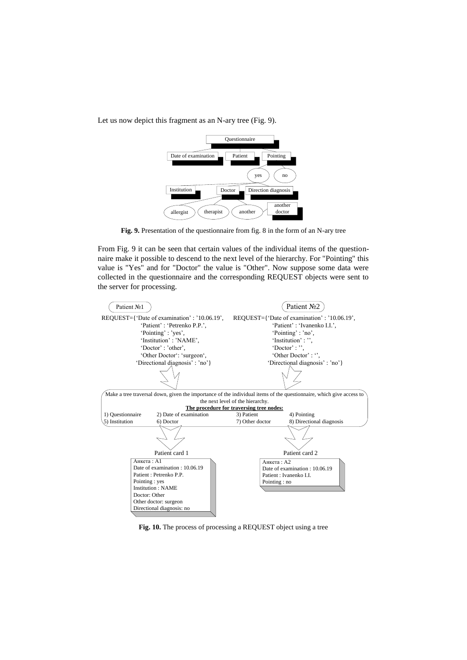Let us now depict this fragment as an N-ary tree (Fig. 9).



**Fig. 9.** Presentation of the questionnaire from fig. 8 in the form of an N-ary tree

From Fig. 9 it can be seen that certain values of the individual items of the questionnaire make it possible to descend to the next level of the hierarchy. For "Pointing" this value is "Yes" and for "Doctor" the value is "Other". Now suppose some data were collected in the questionnaire and the corresponding REQUEST objects were sent to the server for processing.



**Fig. 10.** The process of processing a REQUEST object using a tree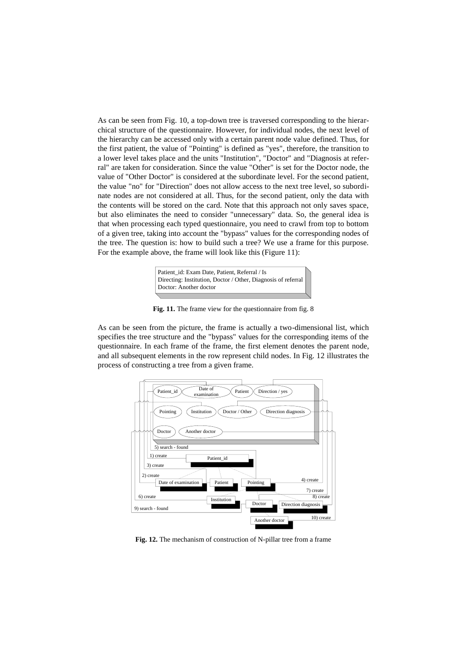As can be seen from Fig. 10, a top-down tree is traversed corresponding to the hierarchical structure of the questionnaire. However, for individual nodes, the next level of the hierarchy can be accessed only with a certain parent node value defined. Thus, for the first patient, the value of "Pointing" is defined as "yes", therefore, the transition to a lower level takes place and the units "Institution", "Doctor" and "Diagnosis at referral" are taken for consideration. Since the value "Other" is set for the Doctor node, the value of "Other Doctor" is considered at the subordinate level. For the second patient, the value "no" for "Direction" does not allow access to the next tree level, so subordinate nodes are not considered at all. Thus, for the second patient, only the data with the contents will be stored on the card. Note that this approach not only saves space, but also eliminates the need to consider "unnecessary" data. So, the general idea is that when processing each typed questionnaire, you need to crawl from top to bottom of a given tree, taking into account the "bypass" values for the corresponding nodes of the tree. The question is: how to build such a tree? We use a frame for this purpose. For the example above, the frame will look like this (Figure 11):



**Fig. 11.** The frame view for the questionnaire from fig. 8

As can be seen from the picture, the frame is actually a two-dimensional list, which specifies the tree structure and the "bypass" values for the corresponding items of the questionnaire. In each frame of the frame, the first element denotes the parent node, and all subsequent elements in the row represent child nodes. In Fig. 12 illustrates the process of constructing a tree from a given frame.



**Fig. 12.** The mechanism of construction of N-pillar tree from a frame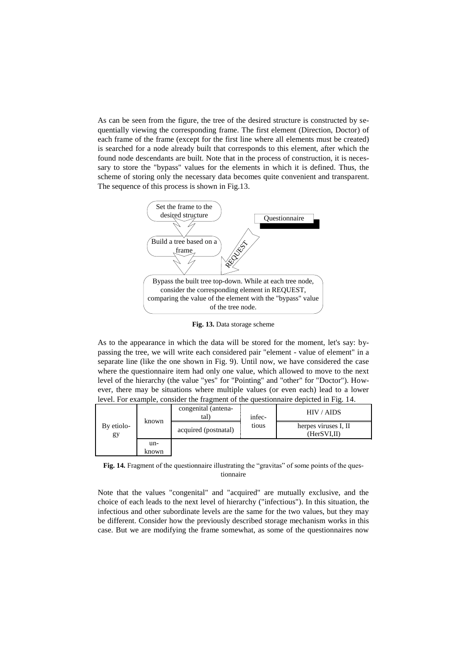As can be seen from the figure, the tree of the desired structure is constructed by sequentially viewing the corresponding frame. The first element (Direction, Doctor) of each frame of the frame (except for the first line where all elements must be created) is searched for a node already built that corresponds to this element, after which the found node descendants are built. Note that in the process of construction, it is necessary to store the "bypass" values for the elements in which it is defined. Thus, the scheme of storing only the necessary data becomes quite convenient and transparent. The sequence of this process is shown in Fig.13.



**Fig. 13.** Data storage scheme

As to the appearance in which the data will be stored for the moment, let's say: bypassing the tree, we will write each considered pair "element - value of element" in a separate line (like the one shown in Fig. 9). Until now, we have considered the case where the questionnaire item had only one value, which allowed to move to the next level of the hierarchy (the value "yes" for "Pointing" and "other" for "Doctor"). However, there may be situations where multiple values (or even each) lead to a lower level. For example, consider the fragment of the questionnaire depicted in Fig. 14.

| By etiolo-<br>gy | known        | congenital (antena-<br>tal) | infec- | HIV / AIDS                           |
|------------------|--------------|-----------------------------|--------|--------------------------------------|
|                  |              | acquired (postnatal)        | tious  | herpes viruses I, II<br>(HerSVI, II) |
|                  | un-<br>known |                             |        |                                      |

**Fig. 14.** Fragment of the questionnaire illustrating the "gravitas" of some points of the questionnaire

Note that the values "congenital" and "acquired" are mutually exclusive, and the choice of each leads to the next level of hierarchy ("infectious"). In this situation, the infectious and other subordinate levels are the same for the two values, but they may be different. Consider how the previously described storage mechanism works in this case. But we are modifying the frame somewhat, as some of the questionnaires now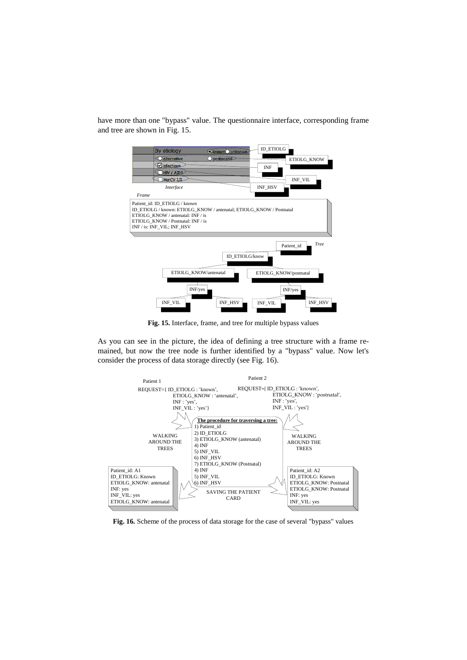have more than one "bypass" value. The questionnaire interface, corresponding frame and tree are shown in Fig. 15.



**Fig. 15.** Interface, frame, and tree for multiple bypass values

As you can see in the picture, the idea of defining a tree structure with a frame remained, but now the tree node is further identified by a "bypass" value. Now let's consider the process of data storage directly (see Fig. 16).



**Fig. 16.** Scheme of the process of data storage for the case of several "bypass" values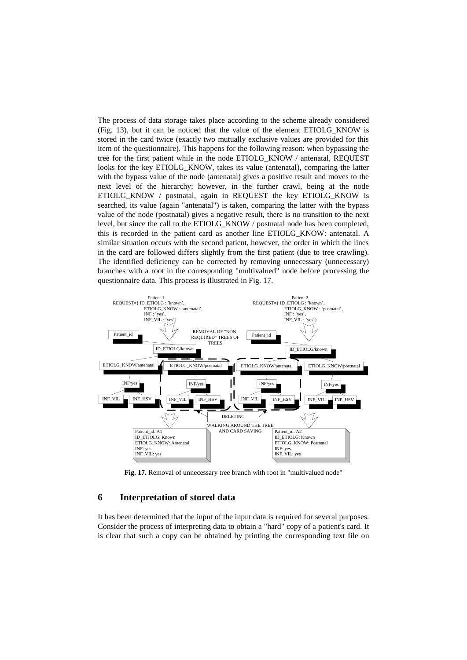The process of data storage takes place according to the scheme already considered (Fig. 13), but it can be noticed that the value of the element ETIOLG\_KNOW is stored in the card twice (exactly two mutually exclusive values are provided for this item of the questionnaire). This happens for the following reason: when bypassing the tree for the first patient while in the node ETIOLG\_KNOW / antenatal, REQUEST looks for the key ETIOLG KNOW, takes its value (antenatal), comparing the latter with the bypass value of the node (antenatal) gives a positive result and moves to the next level of the hierarchy; however, in the further crawl, being at the node ETIOLG\_KNOW / postnatal, again in REQUEST the key ETIOLG\_KNOW is searched, its value (again "antenatal") is taken, comparing the latter with the bypass value of the node (postnatal) gives a negative result, there is no transition to the next level, but since the call to the ETIOLG\_KNOW / postnatal node has been completed, this is recorded in the patient card as another line ETIOLG\_KNOW: antenatal. A similar situation occurs with the second patient, however, the order in which the lines in the card are followed differs slightly from the first patient (due to tree crawling). The identified deficiency can be corrected by removing unnecessary (unnecessary) branches with a root in the corresponding "multivalued" node before processing the questionnaire data. This process is illustrated in Fig. 17.



**Fig. 17.** Removal of unnecessary tree branch with root in "multivalued node"

## **6 Interpretation of stored data**

It has been determined that the input of the input data is required for several purposes. Consider the process of interpreting data to obtain a "hard" copy of a patient's card. It is clear that such a copy can be obtained by printing the corresponding text file on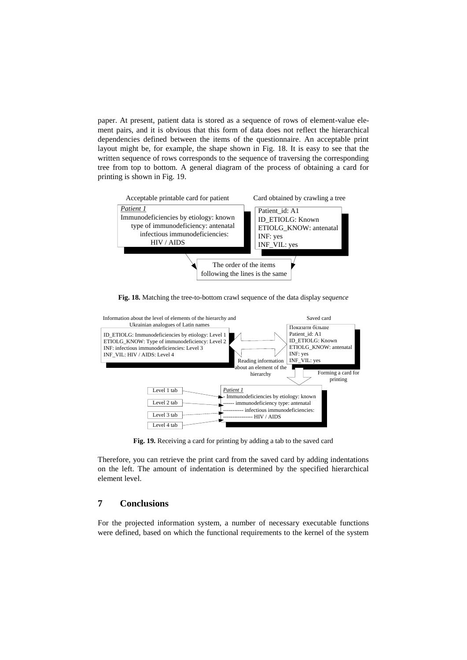paper. At present, patient data is stored as a sequence of rows of element-value element pairs, and it is obvious that this form of data does not reflect the hierarchical dependencies defined between the items of the questionnaire. An acceptable print layout might be, for example, the shape shown in Fig. 18. It is easy to see that the written sequence of rows corresponds to the sequence of traversing the corresponding tree from top to bottom. A general diagram of the process of obtaining a card for printing is shown in Fig. 19.



**Fig. 18.** Matching the tree-to-bottom crawl sequence of the data display se*quence*



**Fig. 19.** Receiving a card for printing by adding a tab to the saved card

Therefore, you can retrieve the print card from the saved card by adding indentations on the left. The amount of indentation is determined by the specified hierarchical element level.

# **7 Conclusions**

For the projected information system, a number of necessary executable functions were defined, based on which the functional requirements to the kernel of the system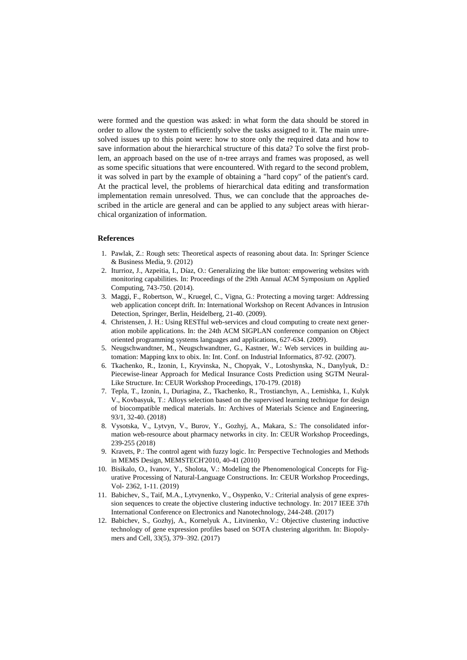were formed and the question was asked: in what form the data should be stored in order to allow the system to efficiently solve the tasks assigned to it. The main unresolved issues up to this point were: how to store only the required data and how to save information about the hierarchical structure of this data? To solve the first problem, an approach based on the use of n-tree arrays and frames was proposed, as well as some specific situations that were encountered. With regard to the second problem, it was solved in part by the example of obtaining a "hard copy" of the patient's card. At the practical level, the problems of hierarchical data editing and transformation implementation remain unresolved. Thus, we can conclude that the approaches described in the article are general and can be applied to any subject areas with hierarchical organization of information.

#### **References**

- 1. Pawlak, Z.: Rough sets: Theoretical aspects of reasoning about data. In: Springer Science & Business Media, 9. (2012)
- 2. Iturrioz, J., Azpeitia, I., Díaz, O.: Generalizing the like button: empowering websites with monitoring capabilities. In: Proceedings of the 29th Annual ACM Symposium on Applied Computing, 743-750. (2014).
- 3. Maggi, F., Robertson, W., Kruegel, C., Vigna, G.: Protecting a moving target: Addressing web application concept drift. In: International Workshop on Recent Advances in Intrusion Detection, Springer, Berlin, Heidelberg, 21-40. (2009).
- 4. Christensen, J. H.: Using RESTful web-services and cloud computing to create next generation mobile applications. In: the 24th ACM SIGPLAN conference companion on Object oriented programming systems languages and applications, 627-634. (2009).
- 5. Neugschwandtner, M., Neugschwandtner, G., Kastner, W.: Web services in building automation: Mapping knx to obix. In: Int. Conf. on Industrial Informatics, 87-92. (2007).
- 6. Tkachenko, R., Izonin, I., Kryvinska, N., Chopyak, V., Lotoshynska, N., Danylyuk, D.: Piecewise-linear Approach for Medical Insurance Costs Prediction using SGTM Neural-Like Structure. In: CEUR Workshop Proceedings, 170-179. (2018)
- 7. Tepla, T., Izonin, I., Duriagina, Z., Tkachenko, R., Trostianchyn, А., Lemishka, І., Kulyk V., Kovbasyuk, Т.: Alloys selection based on the supervised learning technique for design of biocompatible medical materials. In: Archives of Materials Science and Engineering, 93/1, 32-40. (2018)
- 8. Vysotska, V., Lytvyn, V., Burov, Y., Gozhyj, A., Makara, S.: The consolidated information web-resource about pharmacy networks in city. In: CEUR Workshop Proceedings, 239-255 (2018)
- 9. Kravets, P.: The control agent with fuzzy logic. In: Perspective Technologies and Methods in MEMS Design, MEMSTECH'2010, 40-41 (2010)
- 10. Bisikalo, O., Ivanov, Y., Sholota, V.: Modeling the Phenomenological Concepts for Figurative Processing of Natural-Language Constructions. In: CEUR Workshop Proceedings, Vol- 2362, 1-11. (2019)
- 11. Babichev, S., Taif, M.A., Lytvynenko, V., Osypenko, V.: Criterial analysis of gene expression sequences to create the objective clustering inductive technology. In: 2017 IEEE 37th International Conference on Electronics and Nanotechnology, 244-248. (2017)
- 12. Babichev, S., Gozhyj, A., Kornelyuk A., Litvinenko, V.: Objective clustering inductive technology of gene expression profiles based on SOTA clustering algorithm. In: Biopolymers and Cell, 33(5), 379–392. (2017)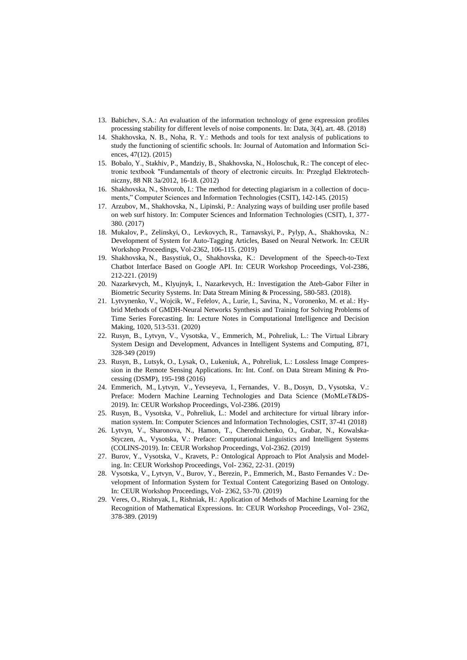- 13. Babichev, S.A.: An evaluation of the information technology of gene expression profiles processing stability for different levels of noise components. In: Data, 3(4), art. 48. (2018)
- 14. Shakhovska, N. B., Noha, R. Y.: Methods and tools for text analysis of publications to study the functioning of scientific schools. In: Journal of Automation and Information Sciences, 47(12). (2015)
- 15. Bobalo, Y., Stakhiv, P., Mandziy, B., Shakhovska, N., Holoschuk, R.: The concept of electronic textbook "Fundamentals of theory of electronic circuits. In: Przegląd Elektrotechniczny, 88 NR 3a/2012, 16-18. (2012)
- 16. Shakhovska, N., Shvorob, I.: The method for detecting plagiarism in a collection of documents," Computer Sciences and Information Technologies (CSIT), 142-145. (2015)
- 17. Arzubov, M., Shakhovska, N., Lipinski, P.: Analyzing ways of building user profile based on web surf history. In: Computer Sciences and Information Technologies (CSIT), 1, 377- 380. (2017)
- 18. Mukalov, P., Zelinskyi, O., Levkovych, R., Tarnavskyi, P., Pylyp, A., Shakhovska, N.: Development of System for Auto-Tagging Articles, Based on Neural Network. In: CEUR Workshop Proceedings, Vol-2362, 106-115. (2019)
- 19. Shakhovska, N., Basystiuk, O., Shakhovska, K.: Development of the Speech-to-Text Chatbot Interface Based on Google API. In: CEUR Workshop Proceedings, Vol-2386, 212-221. (2019)
- 20. Nazarkevych, M., Klyujnyk, I., Nazarkevych, H.: Investigation the Ateb-Gabor Filter in Biometric Security Systems. In: Data Stream Mining & Processing, 580-583. (2018).
- 21. Lytvynenko, V., Wojcik, W., Fefelov, A., Lurie, I., Savina, N., Voronenko, M. et al.: Hybrid Methods of GMDH-Neural Networks Synthesis and Training for Solving Problems of Time Series Forecasting. In: Lecture Notes in Computational Intelligence and Decision Making, 1020, 513-531. (2020)
- 22. Rusyn, B., Lytvyn, V., Vysotska, V., Emmerich, M., Pohreliuk, L.: The Virtual Library System Design and Development, Advances in Intelligent Systems and Computing, 871, 328-349 (2019)
- 23. Rusyn, B., Lutsyk, O., Lysak, O., Lukeniuk, A., Pohreliuk, L.: Lossless Image Compression in the Remote Sensing Applications. In: Int. Conf. on Data Stream Mining & Processing (DSMP), 195-198 (2016)
- 24. Emmerich, M., Lytvyn, V., Yevseyeva, I., Fernandes, V. B., Dosyn, D., Vysotska, V.: Preface: Modern Machine Learning Technologies and Data Science [\(MoMLeT&DS-](http://momlet.in.ua/about-momlet/)[2019\)](http://momlet.in.ua/about-momlet/). In: CEUR Workshop Proceedings, Vol-2386. (2019)
- 25. Rusyn, B., Vysotska, V., Pohreliuk, L.: Model and architecture for virtual library information system. In: Computer Sciences and Information Technologies, CSIT, 37-41 (2018)
- 26. Lytvyn, V., Sharonova, N., Hamon, T., Cherednichenko, O., Grabar, N., Kowalska-Styczen, A., Vysotska, V.: Preface: Computational Linguistics and Intelligent Systems [\(COLINS-2019\)](http://colins.in.ua/). In: CEUR Workshop Proceedings, Vol-2362. (2019)
- 27. Burov, Y., Vysotska, V., Kravets, P.: Ontological Approach to Plot Analysis and Modeling. In: CEUR Workshop Proceedings, Vol- 2362, 22-31. (2019)
- 28. Vysotska, V., Lytvyn, V., Burov, Y., Berezin, P., Emmerich, M., Basto Fernandes V.: Development of Information System for Textual Content Categorizing Based on Ontology. In: CEUR Workshop Proceedings, Vol- 2362, 53-70. (2019)
- 29. Veres, O., Rishnyak, I., Rishniak, H.: Application of Methods of Machine Learning for the Recognition of Mathematical Expressions. In: CEUR Workshop Proceedings, Vol- 2362, 378-389. (2019)